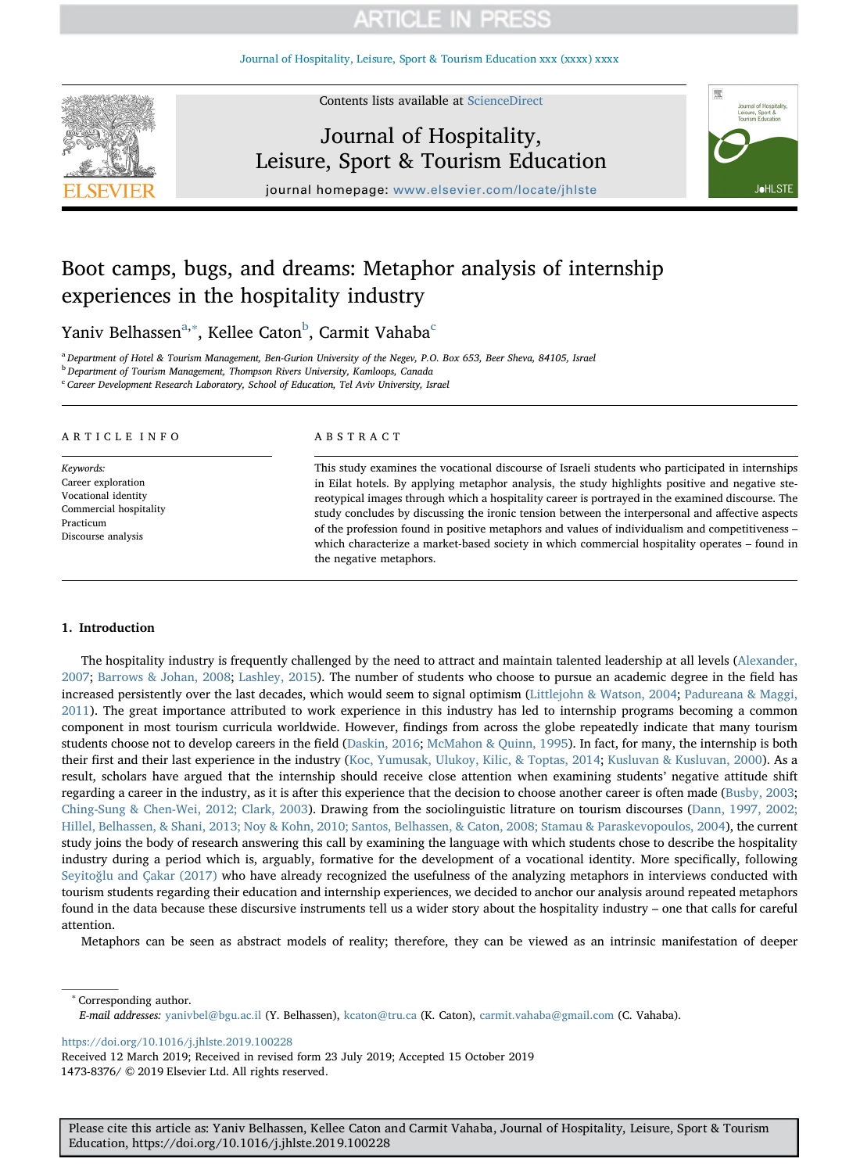[Journal of Hospitality, Leisure, Sport & Tourism Education xxx \(xxxx\) xxxx](https://doi.org/10.1016/j.jhlste.2019.100228)



Contents lists available at [ScienceDirect](http://www.sciencedirect.com/science/journal/14738376)

# Journal of Hospitality, Leisure, Sport & Tourism Education



journal homepage: [www.elsevier.com/locate/jhlste](https://www.elsevier.com/locate/jhlste)

# Boot camps, bugs, and dreams: Metaphor analysis of internship experiences in the hospitality industry

Yaniv Belhassen<sup>[a,](#page-0-0)[∗](#page-0-1)</sup>, Kellee Caton<sup>[b](#page-0-2)</sup>, Carmit Vahaba<sup>[c](#page-0-3)</sup>

<span id="page-0-0"></span><sup>a</sup> Department of Hotel & Tourism Management, Ben-Gurion University of the Negev, P.O. Box 653, Beer Sheva, 84105, Israel

<span id="page-0-2"></span><sup>b</sup> Department of Tourism Management, Thompson Rivers University, Kamloops, Canada

<span id="page-0-3"></span><sup>c</sup> Career Development Research Laboratory, School of Education, Tel Aviv University, Israel

### ARTICLE INFO

Keywords: Career exploration Vocational identity Commercial hospitality Practicum Discourse analysis

#### ABSTRACT

This study examines the vocational discourse of Israeli students who participated in internships in Eilat hotels. By applying metaphor analysis, the study highlights positive and negative stereotypical images through which a hospitality career is portrayed in the examined discourse. The study concludes by discussing the ironic tension between the interpersonal and affective aspects of the profession found in positive metaphors and values of individualism and competitiveness – which characterize a market-based society in which commercial hospitality operates – found in the negative metaphors.

### 1. Introduction

The hospitality industry is frequently challenged by the need to attract and maintain talented leadership at all levels [\(Alexander,](#page-9-0) [2007;](#page-9-0) [Barrows & Johan, 2008](#page-9-1); [Lashley, 2015\)](#page-10-0). The number of students who choose to pursue an academic degree in the field has increased persistently over the last decades, which would seem to signal optimism ([Littlejohn & Watson, 2004;](#page-10-1) [Padureana & Maggi,](#page-10-2) [2011\)](#page-10-2). The great importance attributed to work experience in this industry has led to internship programs becoming a common component in most tourism curricula worldwide. However, findings from across the globe repeatedly indicate that many tourism students choose not to develop careers in the field ([Daskin, 2016](#page-9-2); [McMahon & Quinn, 1995\)](#page-10-3). In fact, for many, the internship is both their first and their last experience in the industry [\(Koc, Yumusak, Ulukoy, Kilic, & Toptas, 2014](#page-10-4); [Kusluvan & Kusluvan, 2000\)](#page-10-5). As a result, scholars have argued that the internship should receive close attention when examining students' negative attitude shift regarding a career in the industry, as it is after this experience that the decision to choose another career is often made ([Busby, 2003;](#page-9-3) [Ching-Sung & Chen-Wei, 2012; Clark, 2003](#page-9-4)). Drawing from the sociolinguistic litrature on tourism discourses [\(Dann, 1997, 2002;](#page-9-5) [Hillel, Belhassen, & Shani, 2013; Noy & Kohn, 2010; Santos, Belhassen, & Caton, 2008; Stamau & Paraskevopoulos, 2004](#page-9-5)), the current study joins the body of research answering this call by examining the language with which students chose to describe the hospitality industry during a period which is, arguably, formative for the development of a vocational identity. More specifically, following Seyitoğ[lu and Çakar \(2017\)](#page-10-6) who have already recognized the usefulness of the analyzing metaphors in interviews conducted with tourism students regarding their education and internship experiences, we decided to anchor our analysis around repeated metaphors found in the data because these discursive instruments tell us a wider story about the hospitality industry – one that calls for careful attention.

Metaphors can be seen as abstract models of reality; therefore, they can be viewed as an intrinsic manifestation of deeper

<span id="page-0-1"></span>Corresponding author. E-mail addresses: [yanivbel@bgu.ac.il](mailto:yanivbel@bgu.ac.il) (Y. Belhassen), [kcaton@tru.ca](mailto:kcaton@tru.ca) (K. Caton), [carmit.vahaba@gmail.com](mailto:carmit.vahaba@gmail.com) (C. Vahaba).

<https://doi.org/10.1016/j.jhlste.2019.100228>

Received 12 March 2019; Received in revised form 23 July 2019; Accepted 15 October 2019 1473-8376/ © 2019 Elsevier Ltd. All rights reserved.

Please cite this article as: Yaniv Belhassen, Kellee Caton and Carmit Vahaba, Journal of Hospitality, Leisure, Sport & Tourism Education, https://doi.org/10.1016/j.jhlste.2019.100228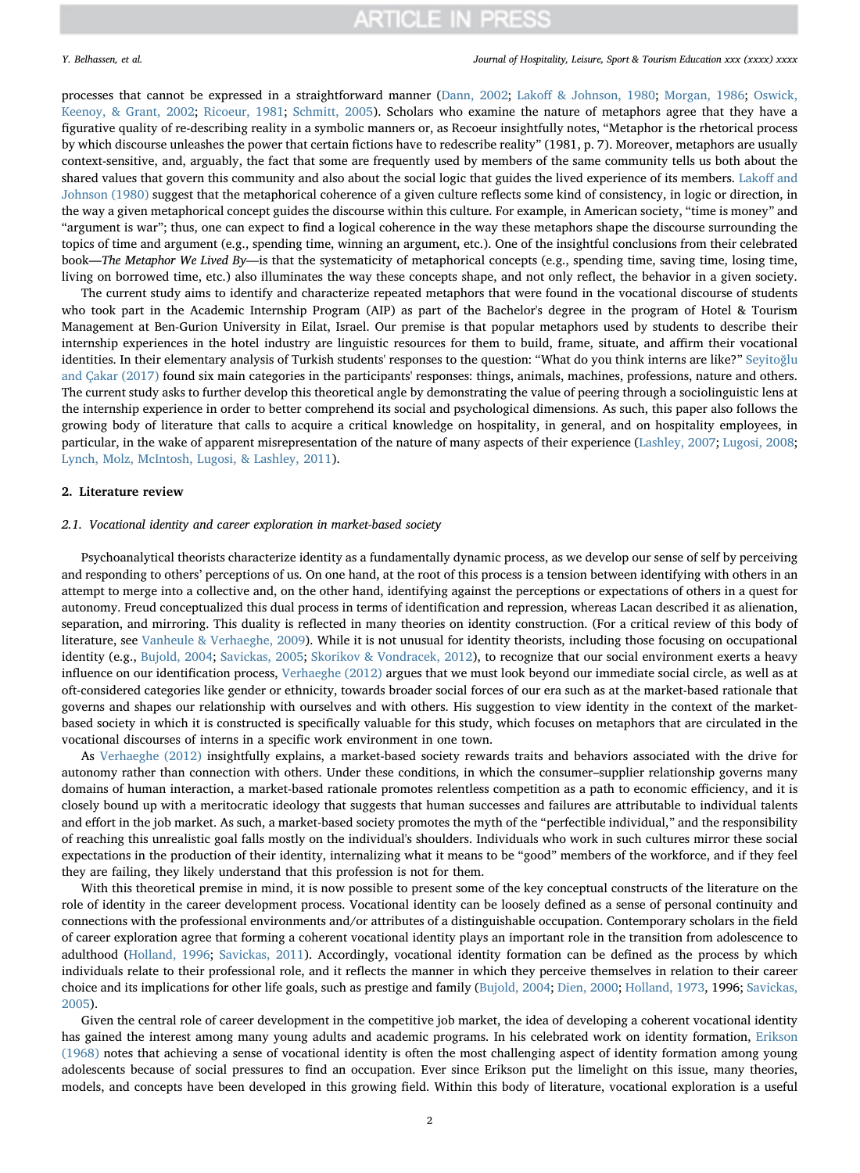### Y. Belhassen, et al. *Journal of Hospitality, Leisure, Sport & Tourism Education xxx (xxxx) xxxx*

processes that cannot be expressed in a straightforward manner [\(Dann, 2002;](#page-9-6) Lakoff [& Johnson, 1980](#page-10-7); [Morgan, 1986;](#page-10-8) [Oswick,](#page-10-9) [Keenoy, & Grant, 2002](#page-10-9); [Ricoeur, 1981;](#page-10-10) [Schmitt, 2005](#page-10-11)). Scholars who examine the nature of metaphors agree that they have a figurative quality of re-describing reality in a symbolic manners or, as Recoeur insightfully notes, "Metaphor is the rhetorical process by which discourse unleashes the power that certain fictions have to redescribe reality" (1981, p. 7). Moreover, metaphors are usually context-sensitive, and, arguably, the fact that some are frequently used by members of the same community tells us both about the shared values that govern this community and also about the social logic that guides the lived experience of its members. [Lako](#page-10-7)ff and [Johnson \(1980\)](#page-10-7) suggest that the metaphorical coherence of a given culture reflects some kind of consistency, in logic or direction, in the way a given metaphorical concept guides the discourse within this culture. For example, in American society, "time is money" and "argument is war"; thus, one can expect to find a logical coherence in the way these metaphors shape the discourse surrounding the topics of time and argument (e.g., spending time, winning an argument, etc.). One of the insightful conclusions from their celebrated book—The Metaphor We Lived By—is that the systematicity of metaphorical concepts (e.g., spending time, saving time, losing time, living on borrowed time, etc.) also illuminates the way these concepts shape, and not only reflect, the behavior in a given society.

The current study aims to identify and characterize repeated metaphors that were found in the vocational discourse of students who took part in the Academic Internship Program (AIP) as part of the Bachelor's degree in the program of Hotel & Tourism Management at Ben-Gurion University in Eilat, Israel. Our premise is that popular metaphors used by students to describe their internship experiences in the hotel industry are linguistic resources for them to build, frame, situate, and affirm their vocational identities. In their elementary analysis of Turkish students' responses to the question: "What do you think interns are like?" [Seyito](#page-10-6)ğlu [and Çakar \(2017\)](#page-10-6) found six main categories in the participants' responses: things, animals, machines, professions, nature and others. The current study asks to further develop this theoretical angle by demonstrating the value of peering through a sociolinguistic lens at the internship experience in order to better comprehend its social and psychological dimensions. As such, this paper also follows the growing body of literature that calls to acquire a critical knowledge on hospitality, in general, and on hospitality employees, in particular, in the wake of apparent misrepresentation of the nature of many aspects of their experience ([Lashley, 2007](#page-10-12); [Lugosi, 2008;](#page-10-13) [Lynch, Molz, McIntosh, Lugosi, & Lashley, 2011](#page-10-14)).

### 2. Literature review

### 2.1. Vocational identity and career exploration in market-based society

Psychoanalytical theorists characterize identity as a fundamentally dynamic process, as we develop our sense of self by perceiving and responding to others' perceptions of us. On one hand, at the root of this process is a tension between identifying with others in an attempt to merge into a collective and, on the other hand, identifying against the perceptions or expectations of others in a quest for autonomy. Freud conceptualized this dual process in terms of identification and repression, whereas Lacan described it as alienation, separation, and mirroring. This duality is reflected in many theories on identity construction. (For a critical review of this body of literature, see [Vanheule & Verhaeghe, 2009](#page-10-15)). While it is not unusual for identity theorists, including those focusing on occupational identity (e.g., [Bujold, 2004;](#page-9-7) [Savickas, 2005](#page-10-16); [Skorikov & Vondracek, 2012](#page-10-17)), to recognize that our social environment exerts a heavy influence on our identification process, [Verhaeghe \(2012\)](#page-10-18) argues that we must look beyond our immediate social circle, as well as at oft-considered categories like gender or ethnicity, towards broader social forces of our era such as at the market-based rationale that governs and shapes our relationship with ourselves and with others. His suggestion to view identity in the context of the marketbased society in which it is constructed is specifically valuable for this study, which focuses on metaphors that are circulated in the vocational discourses of interns in a specific work environment in one town.

As [Verhaeghe \(2012\)](#page-10-18) insightfully explains, a market-based society rewards traits and behaviors associated with the drive for autonomy rather than connection with others. Under these conditions, in which the consumer–supplier relationship governs many domains of human interaction, a market-based rationale promotes relentless competition as a path to economic efficiency, and it is closely bound up with a meritocratic ideology that suggests that human successes and failures are attributable to individual talents and effort in the job market. As such, a market-based society promotes the myth of the "perfectible individual," and the responsibility of reaching this unrealistic goal falls mostly on the individual's shoulders. Individuals who work in such cultures mirror these social expectations in the production of their identity, internalizing what it means to be "good" members of the workforce, and if they feel they are failing, they likely understand that this profession is not for them.

With this theoretical premise in mind, it is now possible to present some of the key conceptual constructs of the literature on the role of identity in the career development process. Vocational identity can be loosely defined as a sense of personal continuity and connections with the professional environments and/or attributes of a distinguishable occupation. Contemporary scholars in the field of career exploration agree that forming a coherent vocational identity plays an important role in the transition from adolescence to adulthood [\(Holland, 1996](#page-9-8); [Savickas, 2011\)](#page-10-19). Accordingly, vocational identity formation can be defined as the process by which individuals relate to their professional role, and it reflects the manner in which they perceive themselves in relation to their career choice and its implications for other life goals, such as prestige and family ([Bujold, 2004;](#page-9-7) [Dien, 2000;](#page-9-9) [Holland, 1973](#page-9-10), 1996; [Savickas,](#page-10-16) [2005\)](#page-10-16).

Given the central role of career development in the competitive job market, the idea of developing a coherent vocational identity has gained the interest among many young adults and academic programs. In his celebrated work on identity formation, [Erikson](#page-9-11) [\(1968\)](#page-9-11) notes that achieving a sense of vocational identity is often the most challenging aspect of identity formation among young adolescents because of social pressures to find an occupation. Ever since Erikson put the limelight on this issue, many theories, models, and concepts have been developed in this growing field. Within this body of literature, vocational exploration is a useful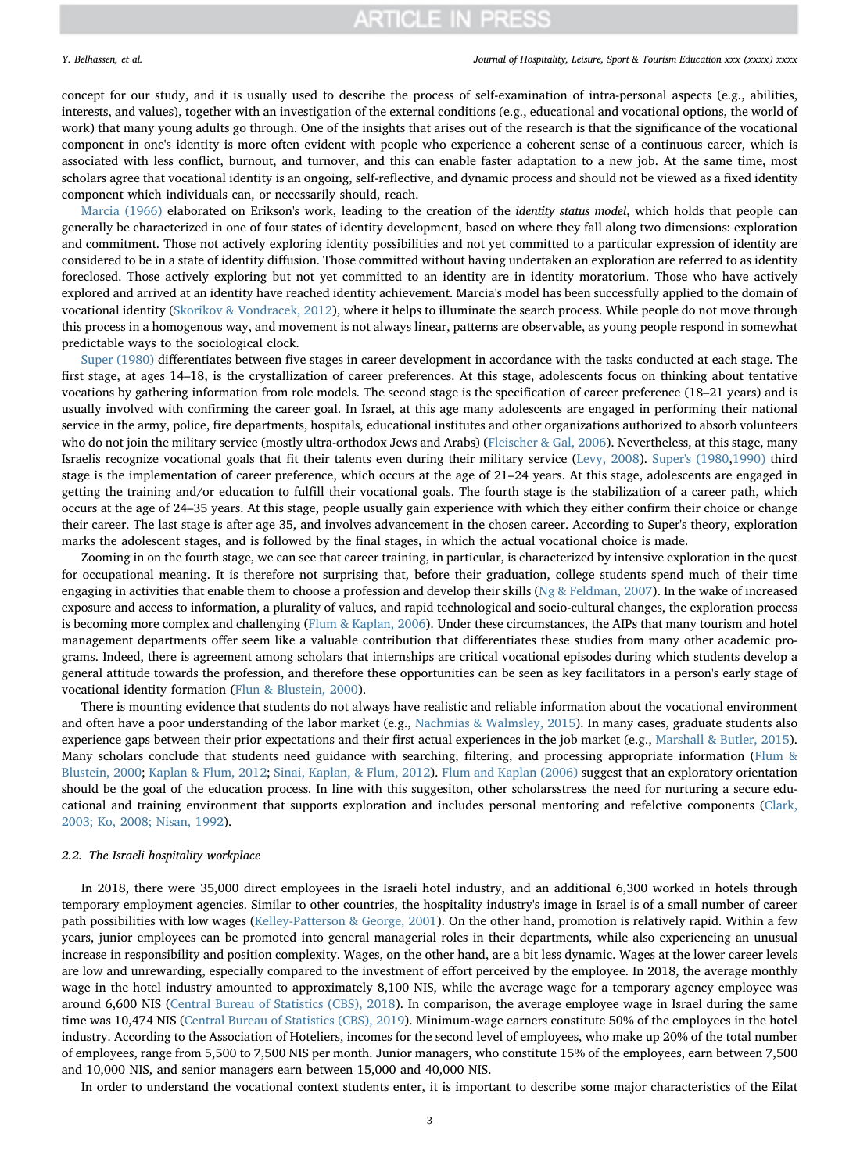### Y. Belhassen, et al. *Journal of Hospitality, Leisure, Sport & Tourism Education xxx (xxxx) xxxx*

concept for our study, and it is usually used to describe the process of self-examination of intra-personal aspects (e.g., abilities, interests, and values), together with an investigation of the external conditions (e.g., educational and vocational options, the world of work) that many young adults go through. One of the insights that arises out of the research is that the significance of the vocational component in one's identity is more often evident with people who experience a coherent sense of a continuous career, which is associated with less conflict, burnout, and turnover, and this can enable faster adaptation to a new job. At the same time, most scholars agree that vocational identity is an ongoing, self-reflective, and dynamic process and should not be viewed as a fixed identity component which individuals can, or necessarily should, reach.

[Marcia \(1966\)](#page-10-20) elaborated on Erikson's work, leading to the creation of the identity status model, which holds that people can generally be characterized in one of four states of identity development, based on where they fall along two dimensions: exploration and commitment. Those not actively exploring identity possibilities and not yet committed to a particular expression of identity are considered to be in a state of identity diffusion. Those committed without having undertaken an exploration are referred to as identity foreclosed. Those actively exploring but not yet committed to an identity are in identity moratorium. Those who have actively explored and arrived at an identity have reached identity achievement. Marcia's model has been successfully applied to the domain of vocational identity [\(Skorikov & Vondracek, 2012](#page-10-17)), where it helps to illuminate the search process. While people do not move through this process in a homogenous way, and movement is not always linear, patterns are observable, as young people respond in somewhat predictable ways to the sociological clock.

[Super \(1980\)](#page-10-21) differentiates between five stages in career development in accordance with the tasks conducted at each stage. The first stage, at ages 14–18, is the crystallization of career preferences. At this stage, adolescents focus on thinking about tentative vocations by gathering information from role models. The second stage is the specification of career preference (18–21 years) and is usually involved with confirming the career goal. In Israel, at this age many adolescents are engaged in performing their national service in the army, police, fire departments, hospitals, educational institutes and other organizations authorized to absorb volunteers who do not join the military service (mostly ultra-orthodox Jews and Arabs) [\(Fleischer & Gal, 2006](#page-9-12)). Nevertheless, at this stage, many Israelis recognize vocational goals that fit their talents even during their military service [\(Levy, 2008\)](#page-10-22). [Super's \(1980,](#page-10-21)[1990\)](#page-10-23) third stage is the implementation of career preference, which occurs at the age of 21–24 years. At this stage, adolescents are engaged in getting the training and/or education to fulfill their vocational goals. The fourth stage is the stabilization of a career path, which occurs at the age of 24–35 years. At this stage, people usually gain experience with which they either confirm their choice or change their career. The last stage is after age 35, and involves advancement in the chosen career. According to Super's theory, exploration marks the adolescent stages, and is followed by the final stages, in which the actual vocational choice is made.

Zooming in on the fourth stage, we can see that career training, in particular, is characterized by intensive exploration in the quest for occupational meaning. It is therefore not surprising that, before their graduation, college students spend much of their time engaging in activities that enable them to choose a profession and develop their skills [\(Ng & Feldman, 2007](#page-10-24)). In the wake of increased exposure and access to information, a plurality of values, and rapid technological and socio-cultural changes, the exploration process is becoming more complex and challenging [\(Flum & Kaplan, 2006\)](#page-9-13). Under these circumstances, the AIPs that many tourism and hotel management departments offer seem like a valuable contribution that differentiates these studies from many other academic programs. Indeed, there is agreement among scholars that internships are critical vocational episodes during which students develop a general attitude towards the profession, and therefore these opportunities can be seen as key facilitators in a person's early stage of vocational identity formation ([Flun & Blustein, 2000\)](#page-9-14).

There is mounting evidence that students do not always have realistic and reliable information about the vocational environment and often have a poor understanding of the labor market (e.g., [Nachmias & Walmsley, 2015\)](#page-10-25). In many cases, graduate students also experience gaps between their prior expectations and their first actual experiences in the job market (e.g., [Marshall & Butler, 2015](#page-10-26)). Many scholars conclude that students need guidance with searching, filtering, and processing appropriate information [\(Flum &](#page-9-14) [Blustein, 2000;](#page-9-14) [Kaplan & Flum, 2012](#page-9-15); [Sinai, Kaplan, & Flum, 2012\)](#page-10-27). [Flum and Kaplan \(2006\)](#page-9-13) suggest that an exploratory orientation should be the goal of the education process. In line with this suggesiton, other scholarsstress the need for nurturing a secure educational and training environment that supports exploration and includes personal mentoring and refelctive components [\(Clark,](#page-9-16) [2003; Ko, 2008; Nisan, 1992\)](#page-9-16).

### 2.2. The Israeli hospitality workplace

In 2018, there were 35,000 direct employees in the Israeli hotel industry, and an additional 6,300 worked in hotels through temporary employment agencies. Similar to other countries, the hospitality industry's image in Israel is of a small number of career path possibilities with low wages [\(Kelley-Patterson & George, 2001\)](#page-9-17). On the other hand, promotion is relatively rapid. Within a few years, junior employees can be promoted into general managerial roles in their departments, while also experiencing an unusual increase in responsibility and position complexity. Wages, on the other hand, are a bit less dynamic. Wages at the lower career levels are low and unrewarding, especially compared to the investment of effort perceived by the employee. In 2018, the average monthly wage in the hotel industry amounted to approximately 8,100 NIS, while the average wage for a temporary agency employee was around 6,600 NIS ([Central Bureau of Statistics \(CBS\), 2018](#page-9-18)). In comparison, the average employee wage in Israel during the same time was 10,474 NIS ([Central Bureau of Statistics \(CBS\), 2019](#page-9-19)). Minimum-wage earners constitute 50% of the employees in the hotel industry. According to the Association of Hoteliers, incomes for the second level of employees, who make up 20% of the total number of employees, range from 5,500 to 7,500 NIS per month. Junior managers, who constitute 15% of the employees, earn between 7,500 and 10,000 NIS, and senior managers earn between 15,000 and 40,000 NIS.

In order to understand the vocational context students enter, it is important to describe some major characteristics of the Eilat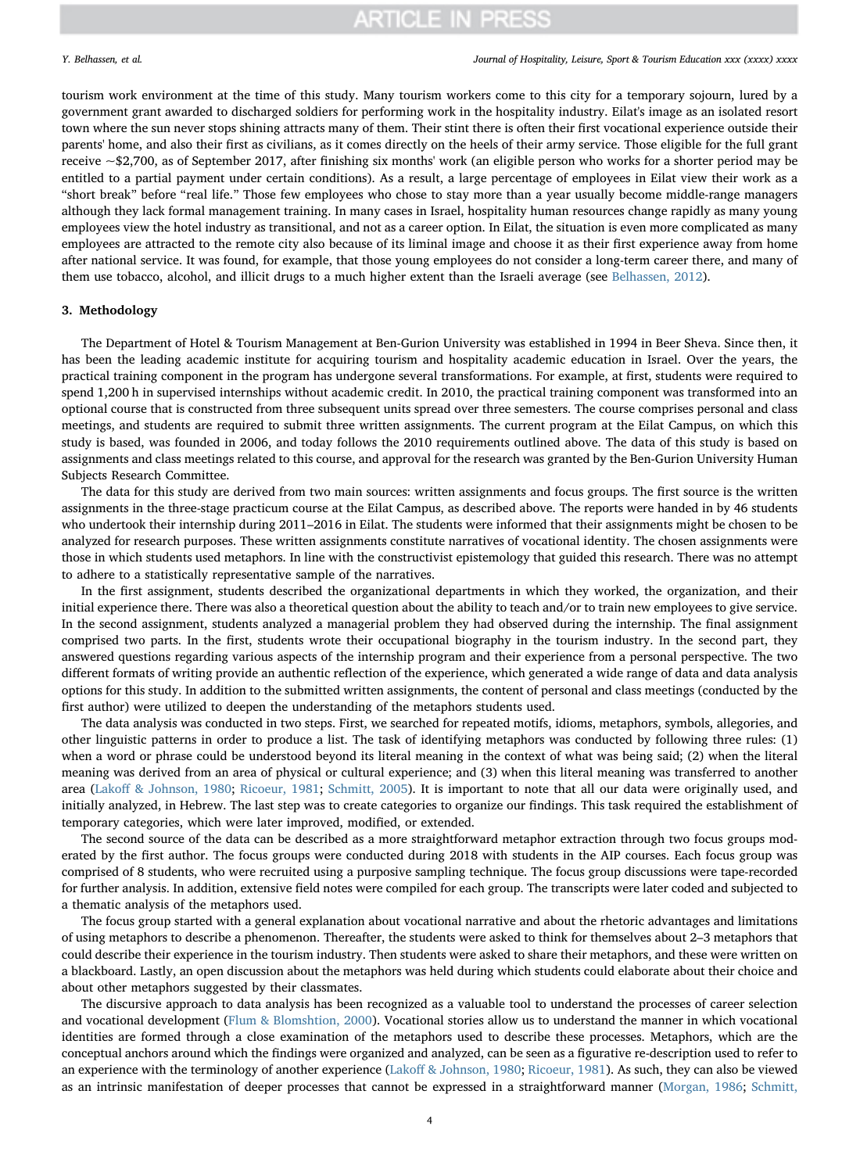tourism work environment at the time of this study. Many tourism workers come to this city for a temporary sojourn, lured by a government grant awarded to discharged soldiers for performing work in the hospitality industry. Eilat's image as an isolated resort town where the sun never stops shining attracts many of them. Their stint there is often their first vocational experience outside their parents' home, and also their first as civilians, as it comes directly on the heels of their army service. Those eligible for the full grant receive ~\$2,700, as of September 2017, after finishing six months' work (an eligible person who works for a shorter period may be entitled to a partial payment under certain conditions). As a result, a large percentage of employees in Eilat view their work as a "short break" before "real life." Those few employees who chose to stay more than a year usually become middle-range managers although they lack formal management training. In many cases in Israel, hospitality human resources change rapidly as many young employees view the hotel industry as transitional, and not as a career option. In Eilat, the situation is even more complicated as many employees are attracted to the remote city also because of its liminal image and choose it as their first experience away from home after national service. It was found, for example, that those young employees do not consider a long-term career there, and many of them use tobacco, alcohol, and illicit drugs to a much higher extent than the Israeli average (see [Belhassen, 2012\)](#page-9-20).

## 3. Methodology

The Department of Hotel & Tourism Management at Ben-Gurion University was established in 1994 in Beer Sheva. Since then, it has been the leading academic institute for acquiring tourism and hospitality academic education in Israel. Over the years, the practical training component in the program has undergone several transformations. For example, at first, students were required to spend 1,200 h in supervised internships without academic credit. In 2010, the practical training component was transformed into an optional course that is constructed from three subsequent units spread over three semesters. The course comprises personal and class meetings, and students are required to submit three written assignments. The current program at the Eilat Campus, on which this study is based, was founded in 2006, and today follows the 2010 requirements outlined above. The data of this study is based on assignments and class meetings related to this course, and approval for the research was granted by the Ben-Gurion University Human Subjects Research Committee.

The data for this study are derived from two main sources: written assignments and focus groups. The first source is the written assignments in the three-stage practicum course at the Eilat Campus, as described above. The reports were handed in by 46 students who undertook their internship during 2011–2016 in Eilat. The students were informed that their assignments might be chosen to be analyzed for research purposes. These written assignments constitute narratives of vocational identity. The chosen assignments were those in which students used metaphors. In line with the constructivist epistemology that guided this research. There was no attempt to adhere to a statistically representative sample of the narratives.

In the first assignment, students described the organizational departments in which they worked, the organization, and their initial experience there. There was also a theoretical question about the ability to teach and/or to train new employees to give service. In the second assignment, students analyzed a managerial problem they had observed during the internship. The final assignment comprised two parts. In the first, students wrote their occupational biography in the tourism industry. In the second part, they answered questions regarding various aspects of the internship program and their experience from a personal perspective. The two different formats of writing provide an authentic reflection of the experience, which generated a wide range of data and data analysis options for this study. In addition to the submitted written assignments, the content of personal and class meetings (conducted by the first author) were utilized to deepen the understanding of the metaphors students used.

The data analysis was conducted in two steps. First, we searched for repeated motifs, idioms, metaphors, symbols, allegories, and other linguistic patterns in order to produce a list. The task of identifying metaphors was conducted by following three rules: (1) when a word or phrase could be understood beyond its literal meaning in the context of what was being said; (2) when the literal meaning was derived from an area of physical or cultural experience; and (3) when this literal meaning was transferred to another area (Lakoff [& Johnson, 1980;](#page-10-7) [Ricoeur, 1981;](#page-10-10) [Schmitt, 2005](#page-10-11)). It is important to note that all our data were originally used, and initially analyzed, in Hebrew. The last step was to create categories to organize our findings. This task required the establishment of temporary categories, which were later improved, modified, or extended.

The second source of the data can be described as a more straightforward metaphor extraction through two focus groups moderated by the first author. The focus groups were conducted during 2018 with students in the AIP courses. Each focus group was comprised of 8 students, who were recruited using a purposive sampling technique. The focus group discussions were tape-recorded for further analysis. In addition, extensive field notes were compiled for each group. The transcripts were later coded and subjected to a thematic analysis of the metaphors used.

The focus group started with a general explanation about vocational narrative and about the rhetoric advantages and limitations of using metaphors to describe a phenomenon. Thereafter, the students were asked to think for themselves about 2–3 metaphors that could describe their experience in the tourism industry. Then students were asked to share their metaphors, and these were written on a blackboard. Lastly, an open discussion about the metaphors was held during which students could elaborate about their choice and about other metaphors suggested by their classmates.

The discursive approach to data analysis has been recognized as a valuable tool to understand the processes of career selection and vocational development ([Flum & Blomshtion, 2000\)](#page-9-14). Vocational stories allow us to understand the manner in which vocational identities are formed through a close examination of the metaphors used to describe these processes. Metaphors, which are the conceptual anchors around which the findings were organized and analyzed, can be seen as a figurative re-description used to refer to an experience with the terminology of another experience (Lakoff [& Johnson, 1980](#page-10-7); [Ricoeur, 1981\)](#page-10-10). As such, they can also be viewed as an intrinsic manifestation of deeper processes that cannot be expressed in a straightforward manner ([Morgan, 1986](#page-10-8); [Schmitt,](#page-10-11)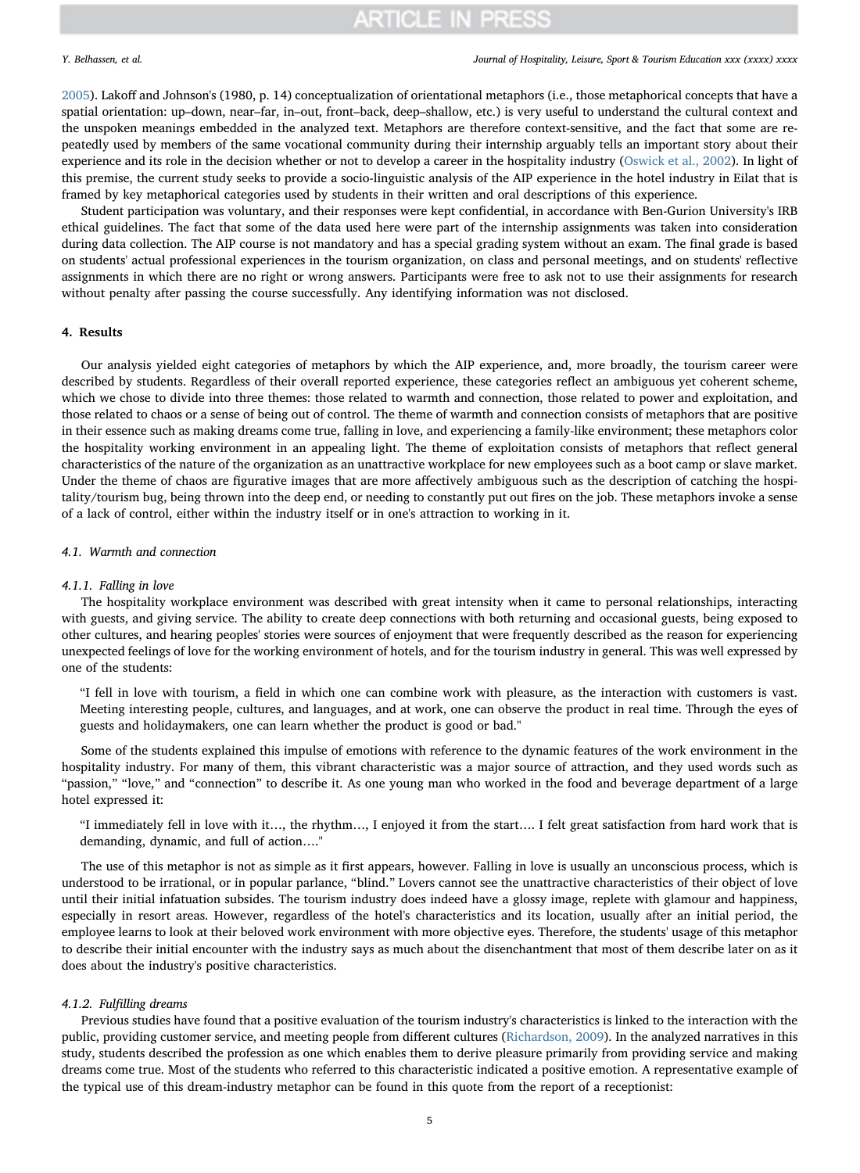[2005\)](#page-10-11). Lakoff and Johnson's (1980, p. 14) conceptualization of orientational metaphors (i.e., those metaphorical concepts that have a spatial orientation: up–down, near–far, in–out, front–back, deep–shallow, etc.) is very useful to understand the cultural context and the unspoken meanings embedded in the analyzed text. Metaphors are therefore context-sensitive, and the fact that some are repeatedly used by members of the same vocational community during their internship arguably tells an important story about their experience and its role in the decision whether or not to develop a career in the hospitality industry [\(Oswick et al., 2002](#page-10-9)). In light of this premise, the current study seeks to provide a socio-linguistic analysis of the AIP experience in the hotel industry in Eilat that is framed by key metaphorical categories used by students in their written and oral descriptions of this experience.

Student participation was voluntary, and their responses were kept confidential, in accordance with Ben-Gurion University's IRB ethical guidelines. The fact that some of the data used here were part of the internship assignments was taken into consideration during data collection. The AIP course is not mandatory and has a special grading system without an exam. The final grade is based on students' actual professional experiences in the tourism organization, on class and personal meetings, and on students' reflective assignments in which there are no right or wrong answers. Participants were free to ask not to use their assignments for research without penalty after passing the course successfully. Any identifying information was not disclosed.

## 4. Results

Our analysis yielded eight categories of metaphors by which the AIP experience, and, more broadly, the tourism career were described by students. Regardless of their overall reported experience, these categories reflect an ambiguous yet coherent scheme, which we chose to divide into three themes: those related to warmth and connection, those related to power and exploitation, and those related to chaos or a sense of being out of control. The theme of warmth and connection consists of metaphors that are positive in their essence such as making dreams come true, falling in love, and experiencing a family-like environment; these metaphors color the hospitality working environment in an appealing light. The theme of exploitation consists of metaphors that reflect general characteristics of the nature of the organization as an unattractive workplace for new employees such as a boot camp or slave market. Under the theme of chaos are figurative images that are more affectively ambiguous such as the description of catching the hospitality/tourism bug, being thrown into the deep end, or needing to constantly put out fires on the job. These metaphors invoke a sense of a lack of control, either within the industry itself or in one's attraction to working in it.

## 4.1. Warmth and connection

### 4.1.1. Falling in love

The hospitality workplace environment was described with great intensity when it came to personal relationships, interacting with guests, and giving service. The ability to create deep connections with both returning and occasional guests, being exposed to other cultures, and hearing peoples' stories were sources of enjoyment that were frequently described as the reason for experiencing unexpected feelings of love for the working environment of hotels, and for the tourism industry in general. This was well expressed by one of the students:

"I fell in love with tourism, a field in which one can combine work with pleasure, as the interaction with customers is vast. Meeting interesting people, cultures, and languages, and at work, one can observe the product in real time. Through the eyes of guests and holidaymakers, one can learn whether the product is good or bad."

Some of the students explained this impulse of emotions with reference to the dynamic features of the work environment in the hospitality industry. For many of them, this vibrant characteristic was a major source of attraction, and they used words such as "passion," "love," and "connection" to describe it. As one young man who worked in the food and beverage department of a large hotel expressed it:

"I immediately fell in love with it…, the rhythm…, I enjoyed it from the start…. I felt great satisfaction from hard work that is demanding, dynamic, and full of action…."

The use of this metaphor is not as simple as it first appears, however. Falling in love is usually an unconscious process, which is understood to be irrational, or in popular parlance, "blind." Lovers cannot see the unattractive characteristics of their object of love until their initial infatuation subsides. The tourism industry does indeed have a glossy image, replete with glamour and happiness, especially in resort areas. However, regardless of the hotel's characteristics and its location, usually after an initial period, the employee learns to look at their beloved work environment with more objective eyes. Therefore, the students' usage of this metaphor to describe their initial encounter with the industry says as much about the disenchantment that most of them describe later on as it does about the industry's positive characteristics.

### 4.1.2. Fulfilling dreams

Previous studies have found that a positive evaluation of the tourism industry's characteristics is linked to the interaction with the public, providing customer service, and meeting people from different cultures ([Richardson, 2009](#page-10-28)). In the analyzed narratives in this study, students described the profession as one which enables them to derive pleasure primarily from providing service and making dreams come true. Most of the students who referred to this characteristic indicated a positive emotion. A representative example of the typical use of this dream-industry metaphor can be found in this quote from the report of a receptionist: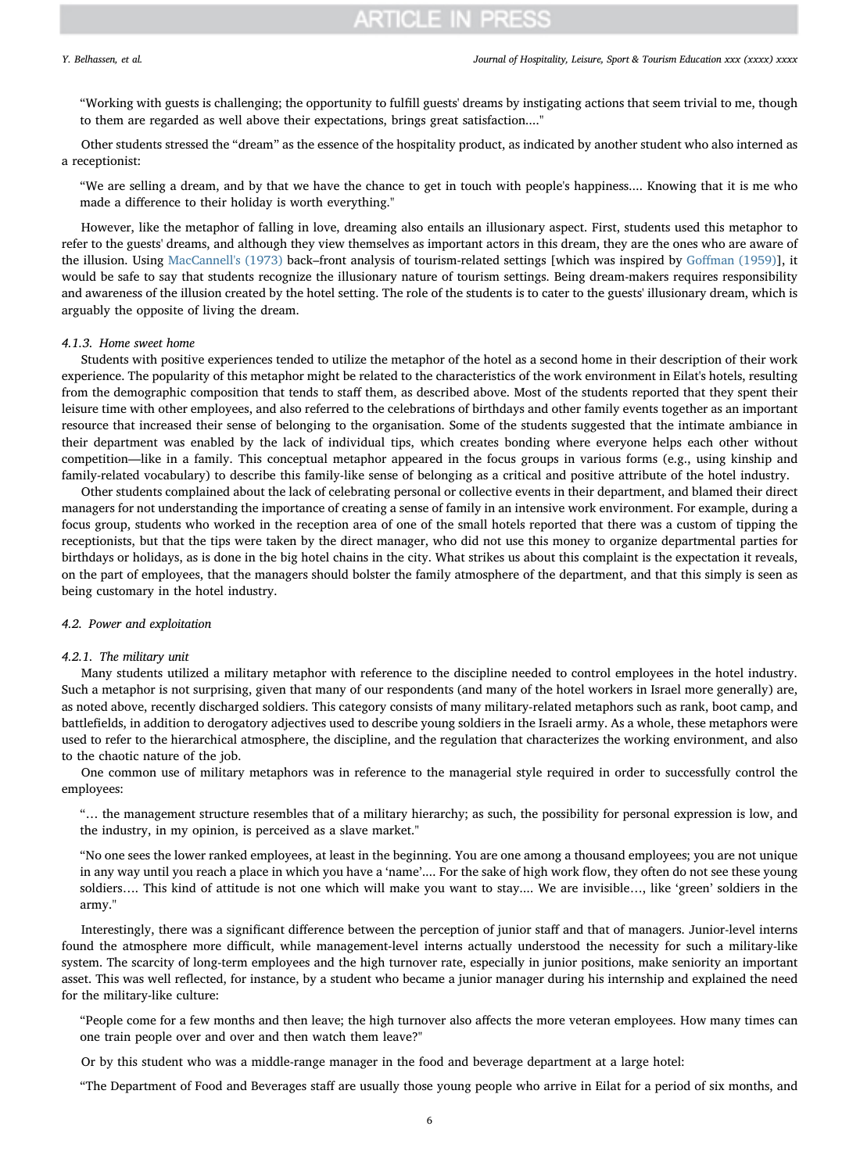"Working with guests is challenging; the opportunity to fulfill guests' dreams by instigating actions that seem trivial to me, though to them are regarded as well above their expectations, brings great satisfaction...."

Other students stressed the "dream" as the essence of the hospitality product, as indicated by another student who also interned as a receptionist:

"We are selling a dream, and by that we have the chance to get in touch with people's happiness.... Knowing that it is me who made a difference to their holiday is worth everything."

However, like the metaphor of falling in love, dreaming also entails an illusionary aspect. First, students used this metaphor to refer to the guests' dreams, and although they view themselves as important actors in this dream, they are the ones who are aware of the illusion. Using [MacCannell's \(1973\)](#page-10-29) back–front analysis of tourism-related settings [which was inspired by Goff[man \(1959\)\]](#page-9-21), it would be safe to say that students recognize the illusionary nature of tourism settings. Being dream-makers requires responsibility and awareness of the illusion created by the hotel setting. The role of the students is to cater to the guests' illusionary dream, which is arguably the opposite of living the dream.

## 4.1.3. Home sweet home

Students with positive experiences tended to utilize the metaphor of the hotel as a second home in their description of their work experience. The popularity of this metaphor might be related to the characteristics of the work environment in Eilat's hotels, resulting from the demographic composition that tends to staff them, as described above. Most of the students reported that they spent their leisure time with other employees, and also referred to the celebrations of birthdays and other family events together as an important resource that increased their sense of belonging to the organisation. Some of the students suggested that the intimate ambiance in their department was enabled by the lack of individual tips, which creates bonding where everyone helps each other without competition—like in a family. This conceptual metaphor appeared in the focus groups in various forms (e.g., using kinship and family-related vocabulary) to describe this family-like sense of belonging as a critical and positive attribute of the hotel industry.

Other students complained about the lack of celebrating personal or collective events in their department, and blamed their direct managers for not understanding the importance of creating a sense of family in an intensive work environment. For example, during a focus group, students who worked in the reception area of one of the small hotels reported that there was a custom of tipping the receptionists, but that the tips were taken by the direct manager, who did not use this money to organize departmental parties for birthdays or holidays, as is done in the big hotel chains in the city. What strikes us about this complaint is the expectation it reveals, on the part of employees, that the managers should bolster the family atmosphere of the department, and that this simply is seen as being customary in the hotel industry.

## 4.2. Power and exploitation

## 4.2.1. The military unit

Many students utilized a military metaphor with reference to the discipline needed to control employees in the hotel industry. Such a metaphor is not surprising, given that many of our respondents (and many of the hotel workers in Israel more generally) are, as noted above, recently discharged soldiers. This category consists of many military-related metaphors such as rank, boot camp, and battlefields, in addition to derogatory adjectives used to describe young soldiers in the Israeli army. As a whole, these metaphors were used to refer to the hierarchical atmosphere, the discipline, and the regulation that characterizes the working environment, and also to the chaotic nature of the job.

One common use of military metaphors was in reference to the managerial style required in order to successfully control the employees:

"… the management structure resembles that of a military hierarchy; as such, the possibility for personal expression is low, and the industry, in my opinion, is perceived as a slave market."

"No one sees the lower ranked employees, at least in the beginning. You are one among a thousand employees; you are not unique in any way until you reach a place in which you have a 'name'.... For the sake of high work flow, they often do not see these young soldiers…. This kind of attitude is not one which will make you want to stay.... We are invisible…, like 'green' soldiers in the army.''

Interestingly, there was a significant difference between the perception of junior staff and that of managers. Junior-level interns found the atmosphere more difficult, while management-level interns actually understood the necessity for such a military-like system. The scarcity of long-term employees and the high turnover rate, especially in junior positions, make seniority an important asset. This was well reflected, for instance, by a student who became a junior manager during his internship and explained the need for the military-like culture:

"People come for a few months and then leave; the high turnover also affects the more veteran employees. How many times can one train people over and over and then watch them leave?"

Or by this student who was a middle-range manager in the food and beverage department at a large hotel:

"The Department of Food and Beverages staff are usually those young people who arrive in Eilat for a period of six months, and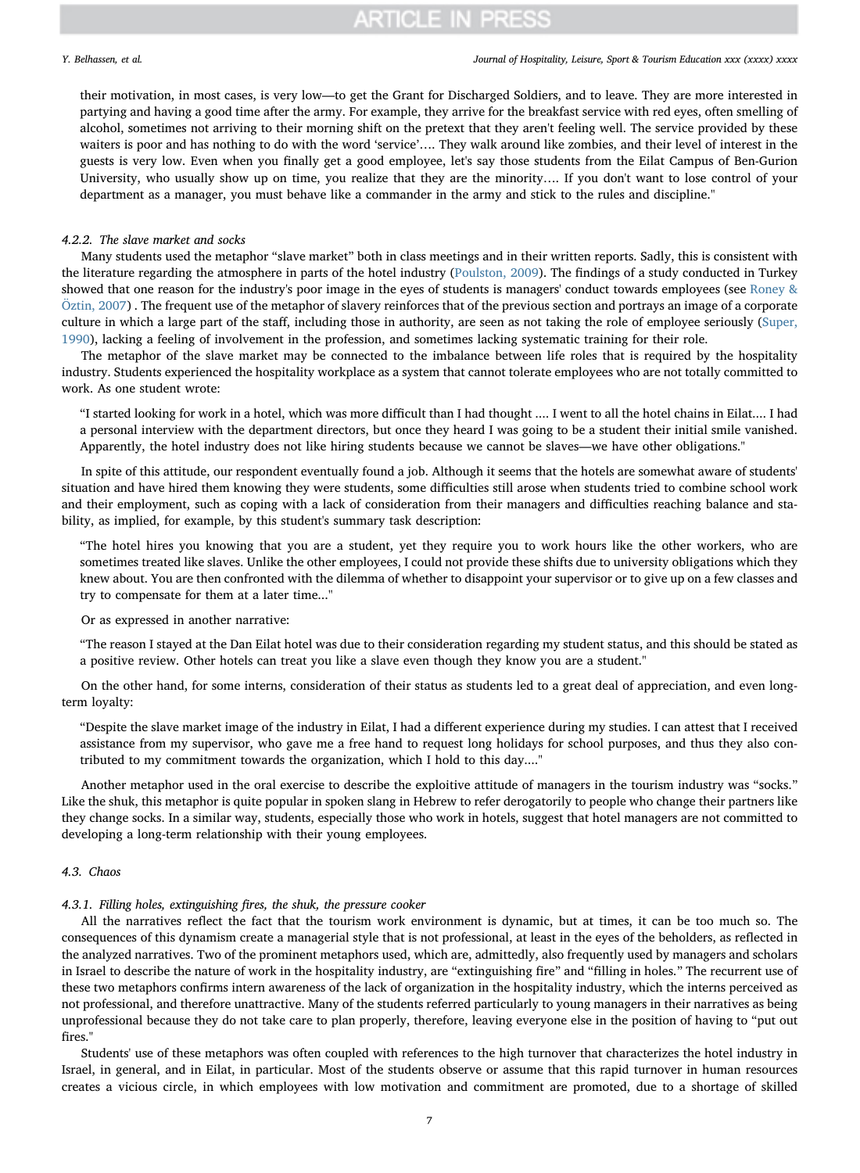### Y. Belhassen, et al. *Journal of Hospitality, Leisure, Sport & Tourism Education xxx (xxxx) xxxx*

their motivation, in most cases, is very low—to get the Grant for Discharged Soldiers, and to leave. They are more interested in partying and having a good time after the army. For example, they arrive for the breakfast service with red eyes, often smelling of alcohol, sometimes not arriving to their morning shift on the pretext that they aren't feeling well. The service provided by these waiters is poor and has nothing to do with the word 'service'…. They walk around like zombies, and their level of interest in the guests is very low. Even when you finally get a good employee, let's say those students from the Eilat Campus of Ben-Gurion University, who usually show up on time, you realize that they are the minority…. If you don't want to lose control of your department as a manager, you must behave like a commander in the army and stick to the rules and discipline.''

## 4.2.2. The slave market and socks

Many students used the metaphor "slave market" both in class meetings and in their written reports. Sadly, this is consistent with the literature regarding the atmosphere in parts of the hotel industry ([Poulston, 2009](#page-10-30)). The findings of a study conducted in Turkey showed that one reason for the industry's poor image in the eyes of students is managers' conduct towards employees (see [Roney &](#page-10-31) [Öztin, 2007](#page-10-31)) . The frequent use of the metaphor of slavery reinforces that of the previous section and portrays an image of a corporate culture in which a large part of the staff, including those in authority, are seen as not taking the role of employee seriously ([Super,](#page-10-23) [1990\)](#page-10-23), lacking a feeling of involvement in the profession, and sometimes lacking systematic training for their role.

The metaphor of the slave market may be connected to the imbalance between life roles that is required by the hospitality industry. Students experienced the hospitality workplace as a system that cannot tolerate employees who are not totally committed to work. As one student wrote:

"I started looking for work in a hotel, which was more difficult than I had thought .... I went to all the hotel chains in Eilat.... I had a personal interview with the department directors, but once they heard I was going to be a student their initial smile vanished. Apparently, the hotel industry does not like hiring students because we cannot be slaves—we have other obligations."

In spite of this attitude, our respondent eventually found a job. Although it seems that the hotels are somewhat aware of students' situation and have hired them knowing they were students, some difficulties still arose when students tried to combine school work and their employment, such as coping with a lack of consideration from their managers and difficulties reaching balance and stability, as implied, for example, by this student's summary task description:

"The hotel hires you knowing that you are a student, yet they require you to work hours like the other workers, who are sometimes treated like slaves. Unlike the other employees, I could not provide these shifts due to university obligations which they knew about. You are then confronted with the dilemma of whether to disappoint your supervisor or to give up on a few classes and try to compensate for them at a later time...''

Or as expressed in another narrative:

"The reason I stayed at the Dan Eilat hotel was due to their consideration regarding my student status, and this should be stated as a positive review. Other hotels can treat you like a slave even though they know you are a student."

On the other hand, for some interns, consideration of their status as students led to a great deal of appreciation, and even longterm loyalty:

"Despite the slave market image of the industry in Eilat, I had a different experience during my studies. I can attest that I received assistance from my supervisor, who gave me a free hand to request long holidays for school purposes, and thus they also contributed to my commitment towards the organization, which I hold to this day...."

Another metaphor used in the oral exercise to describe the exploitive attitude of managers in the tourism industry was "socks." Like the shuk, this metaphor is quite popular in spoken slang in Hebrew to refer derogatorily to people who change their partners like they change socks. In a similar way, students, especially those who work in hotels, suggest that hotel managers are not committed to developing a long-term relationship with their young employees.

## 4.3. Chaos

## 4.3.1. Filling holes, extinguishing fires, the shuk, the pressure cooker

All the narratives reflect the fact that the tourism work environment is dynamic, but at times, it can be too much so. The consequences of this dynamism create a managerial style that is not professional, at least in the eyes of the beholders, as reflected in the analyzed narratives. Two of the prominent metaphors used, which are, admittedly, also frequently used by managers and scholars in Israel to describe the nature of work in the hospitality industry, are "extinguishing fire" and "filling in holes." The recurrent use of these two metaphors confirms intern awareness of the lack of organization in the hospitality industry, which the interns perceived as not professional, and therefore unattractive. Many of the students referred particularly to young managers in their narratives as being unprofessional because they do not take care to plan properly, therefore, leaving everyone else in the position of having to "put out fires."

Students' use of these metaphors was often coupled with references to the high turnover that characterizes the hotel industry in Israel, in general, and in Eilat, in particular. Most of the students observe or assume that this rapid turnover in human resources creates a vicious circle, in which employees with low motivation and commitment are promoted, due to a shortage of skilled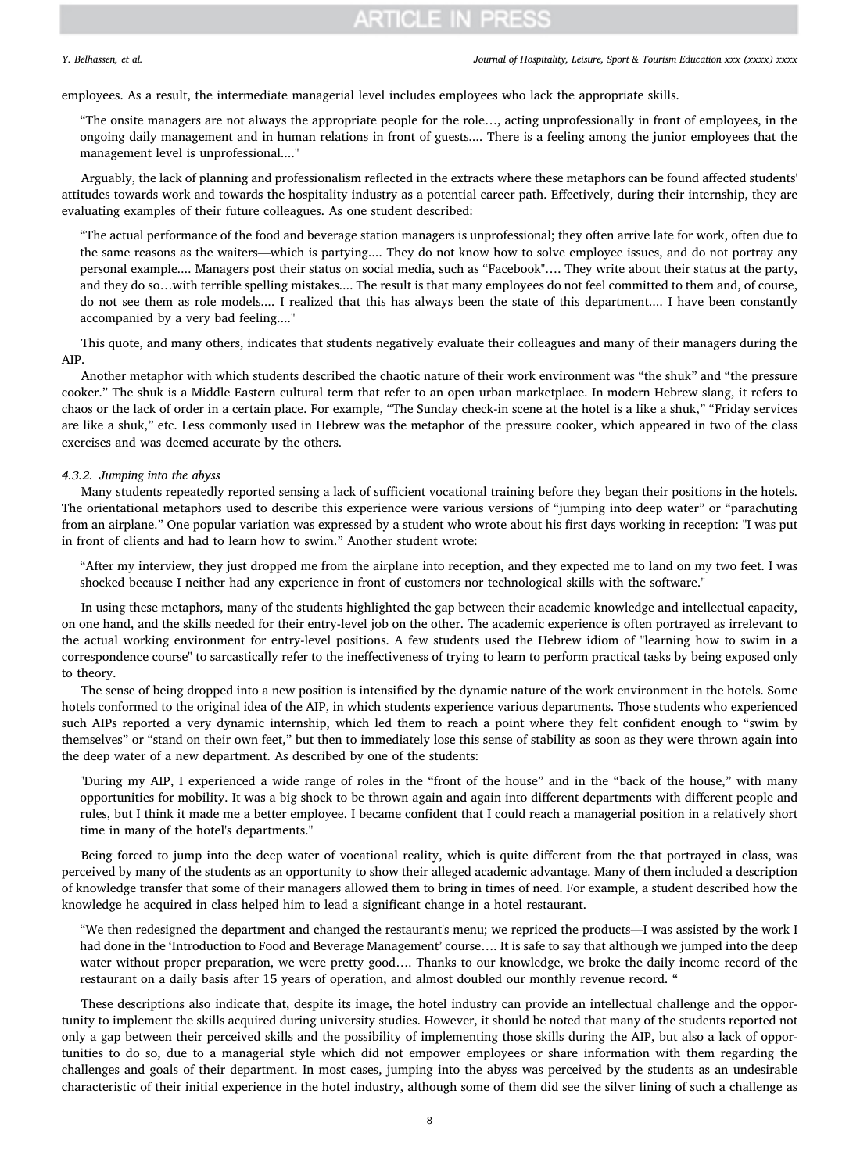Y. Belhassen, et al. *Journal of Hospitality, Leisure, Sport & Tourism Education xxx (xxxx) xxxx*

employees. As a result, the intermediate managerial level includes employees who lack the appropriate skills.

"The onsite managers are not always the appropriate people for the role…, acting unprofessionally in front of employees, in the ongoing daily management and in human relations in front of guests.... There is a feeling among the junior employees that the management level is unprofessional...."

Arguably, the lack of planning and professionalism reflected in the extracts where these metaphors can be found affected students' attitudes towards work and towards the hospitality industry as a potential career path. Effectively, during their internship, they are evaluating examples of their future colleagues. As one student described:

"The actual performance of the food and beverage station managers is unprofessional; they often arrive late for work, often due to the same reasons as the waiters—which is partying.... They do not know how to solve employee issues, and do not portray any personal example.... Managers post their status on social media, such as "Facebook"…. They write about their status at the party, and they do so…with terrible spelling mistakes.... The result is that many employees do not feel committed to them and, of course, do not see them as role models.... I realized that this has always been the state of this department.... I have been constantly accompanied by a very bad feeling...."

This quote, and many others, indicates that students negatively evaluate their colleagues and many of their managers during the AIP.

Another metaphor with which students described the chaotic nature of their work environment was "the shuk" and "the pressure cooker." The shuk is a Middle Eastern cultural term that refer to an open urban marketplace. In modern Hebrew slang, it refers to chaos or the lack of order in a certain place. For example, "The Sunday check-in scene at the hotel is a like a shuk," "Friday services are like a shuk," etc. Less commonly used in Hebrew was the metaphor of the pressure cooker, which appeared in two of the class exercises and was deemed accurate by the others.

#### 4.3.2. Jumping into the abyss

Many students repeatedly reported sensing a lack of sufficient vocational training before they began their positions in the hotels. The orientational metaphors used to describe this experience were various versions of "jumping into deep water" or "parachuting from an airplane." One popular variation was expressed by a student who wrote about his first days working in reception: ''I was put in front of clients and had to learn how to swim." Another student wrote:

"After my interview, they just dropped me from the airplane into reception, and they expected me to land on my two feet. I was shocked because I neither had any experience in front of customers nor technological skills with the software."

In using these metaphors, many of the students highlighted the gap between their academic knowledge and intellectual capacity, on one hand, and the skills needed for their entry-level job on the other. The academic experience is often portrayed as irrelevant to the actual working environment for entry-level positions. A few students used the Hebrew idiom of ''learning how to swim in a correspondence course'' to sarcastically refer to the ineffectiveness of trying to learn to perform practical tasks by being exposed only to theory.

The sense of being dropped into a new position is intensified by the dynamic nature of the work environment in the hotels. Some hotels conformed to the original idea of the AIP, in which students experience various departments. Those students who experienced such AIPs reported a very dynamic internship, which led them to reach a point where they felt confident enough to "swim by themselves" or "stand on their own feet," but then to immediately lose this sense of stability as soon as they were thrown again into the deep water of a new department. As described by one of the students:

''During my AIP, I experienced a wide range of roles in the "front of the house" and in the "back of the house," with many opportunities for mobility. It was a big shock to be thrown again and again into different departments with different people and rules, but I think it made me a better employee. I became confident that I could reach a managerial position in a relatively short time in many of the hotel's departments.''

Being forced to jump into the deep water of vocational reality, which is quite different from the that portrayed in class, was perceived by many of the students as an opportunity to show their alleged academic advantage. Many of them included a description of knowledge transfer that some of their managers allowed them to bring in times of need. For example, a student described how the knowledge he acquired in class helped him to lead a significant change in a hotel restaurant.

"We then redesigned the department and changed the restaurant's menu; we repriced the products—I was assisted by the work I had done in the 'Introduction to Food and Beverage Management' course…. It is safe to say that although we jumped into the deep water without proper preparation, we were pretty good…. Thanks to our knowledge, we broke the daily income record of the restaurant on a daily basis after 15 years of operation, and almost doubled our monthly revenue record. "

These descriptions also indicate that, despite its image, the hotel industry can provide an intellectual challenge and the opportunity to implement the skills acquired during university studies. However, it should be noted that many of the students reported not only a gap between their perceived skills and the possibility of implementing those skills during the AIP, but also a lack of opportunities to do so, due to a managerial style which did not empower employees or share information with them regarding the challenges and goals of their department. In most cases, jumping into the abyss was perceived by the students as an undesirable characteristic of their initial experience in the hotel industry, although some of them did see the silver lining of such a challenge as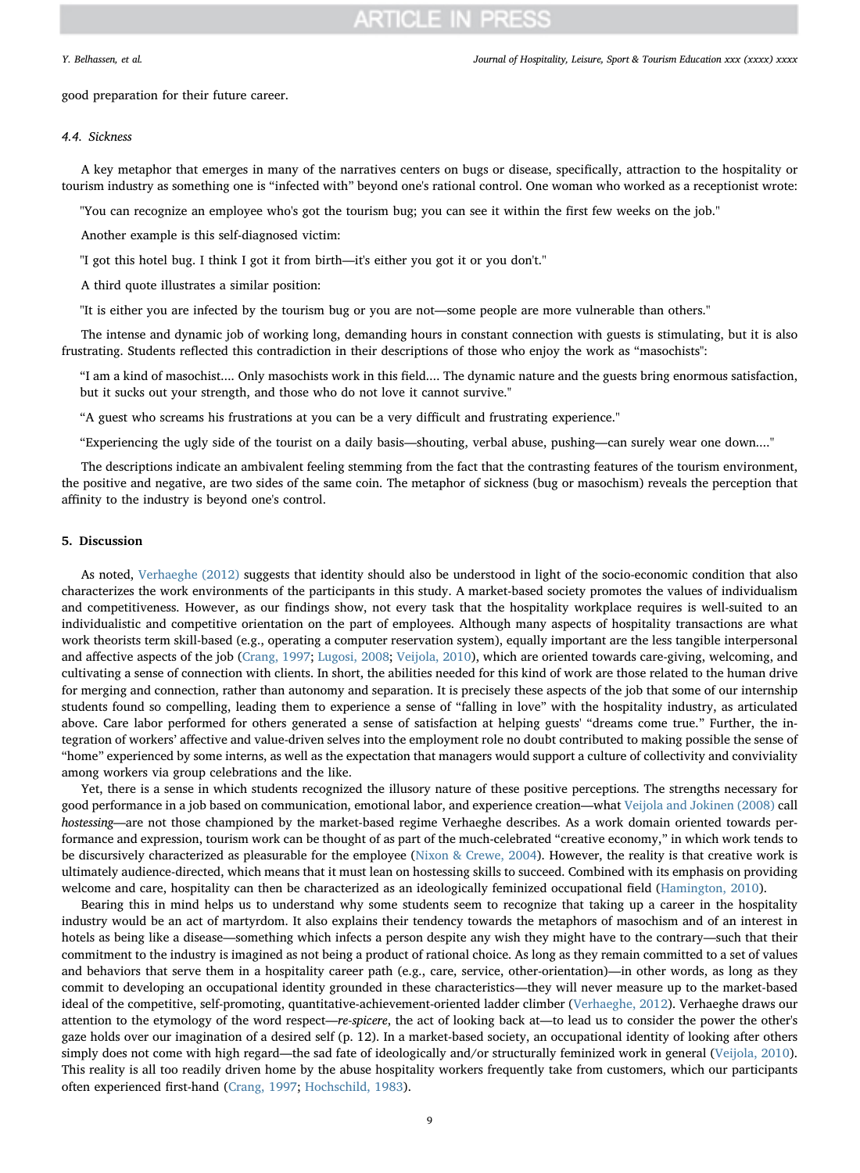good preparation for their future career.

# 4.4. Sickness

A key metaphor that emerges in many of the narratives centers on bugs or disease, specifically, attraction to the hospitality or tourism industry as something one is "infected with" beyond one's rational control. One woman who worked as a receptionist wrote:

''You can recognize an employee who's got the tourism bug; you can see it within the first few weeks on the job.''

Another example is this self-diagnosed victim:

''I got this hotel bug. I think I got it from birth—it's either you got it or you don't.''

A third quote illustrates a similar position:

''It is either you are infected by the tourism bug or you are not—some people are more vulnerable than others.''

The intense and dynamic job of working long, demanding hours in constant connection with guests is stimulating, but it is also frustrating. Students reflected this contradiction in their descriptions of those who enjoy the work as "masochists":

"I am a kind of masochist.... Only masochists work in this field.... The dynamic nature and the guests bring enormous satisfaction, but it sucks out your strength, and those who do not love it cannot survive."

"A guest who screams his frustrations at you can be a very difficult and frustrating experience.''

"Experiencing the ugly side of the tourist on a daily basis—shouting, verbal abuse, pushing—can surely wear one down....''

The descriptions indicate an ambivalent feeling stemming from the fact that the contrasting features of the tourism environment, the positive and negative, are two sides of the same coin. The metaphor of sickness (bug or masochism) reveals the perception that affinity to the industry is beyond one's control.

## 5. Discussion

As noted, [Verhaeghe \(2012\)](#page-10-18) suggests that identity should also be understood in light of the socio-economic condition that also characterizes the work environments of the participants in this study. A market-based society promotes the values of individualism and competitiveness. However, as our findings show, not every task that the hospitality workplace requires is well-suited to an individualistic and competitive orientation on the part of employees. Although many aspects of hospitality transactions are what work theorists term skill-based (e.g., operating a computer reservation system), equally important are the less tangible interpersonal and affective aspects of the job [\(Crang, 1997;](#page-9-22) [Lugosi, 2008;](#page-10-13) [Veijola, 2010](#page-10-32)), which are oriented towards care-giving, welcoming, and cultivating a sense of connection with clients. In short, the abilities needed for this kind of work are those related to the human drive for merging and connection, rather than autonomy and separation. It is precisely these aspects of the job that some of our internship students found so compelling, leading them to experience a sense of "falling in love" with the hospitality industry, as articulated above. Care labor performed for others generated a sense of satisfaction at helping guests' "dreams come true." Further, the integration of workers' affective and value-driven selves into the employment role no doubt contributed to making possible the sense of "home" experienced by some interns, as well as the expectation that managers would support a culture of collectivity and conviviality among workers via group celebrations and the like.

Yet, there is a sense in which students recognized the illusory nature of these positive perceptions. The strengths necessary for good performance in a job based on communication, emotional labor, and experience creation—what [Veijola and Jokinen \(2008\)](#page-10-33) call hostessing—are not those championed by the market-based regime Verhaeghe describes. As a work domain oriented towards performance and expression, tourism work can be thought of as part of the much-celebrated "creative economy," in which work tends to be discursively characterized as pleasurable for the employee [\(Nixon & Crewe, 2004\)](#page-10-34). However, the reality is that creative work is ultimately audience-directed, which means that it must lean on hostessing skills to succeed. Combined with its emphasis on providing welcome and care, hospitality can then be characterized as an ideologically feminized occupational field [\(Hamington, 2010\)](#page-9-23).

Bearing this in mind helps us to understand why some students seem to recognize that taking up a career in the hospitality industry would be an act of martyrdom. It also explains their tendency towards the metaphors of masochism and of an interest in hotels as being like a disease—something which infects a person despite any wish they might have to the contrary—such that their commitment to the industry is imagined as not being a product of rational choice. As long as they remain committed to a set of values and behaviors that serve them in a hospitality career path (e.g., care, service, other-orientation)—in other words, as long as they commit to developing an occupational identity grounded in these characteristics—they will never measure up to the market-based ideal of the competitive, self-promoting, quantitative-achievement-oriented ladder climber [\(Verhaeghe, 2012\)](#page-10-18). Verhaeghe draws our attention to the etymology of the word respect—re-spicere, the act of looking back at—to lead us to consider the power the other's gaze holds over our imagination of a desired self (p. 12). In a market-based society, an occupational identity of looking after others simply does not come with high regard—the sad fate of ideologically and/or structurally feminized work in general ([Veijola, 2010](#page-10-32)). This reality is all too readily driven home by the abuse hospitality workers frequently take from customers, which our participants often experienced first-hand ([Crang, 1997](#page-9-22); [Hochschild, 1983](#page-9-24)).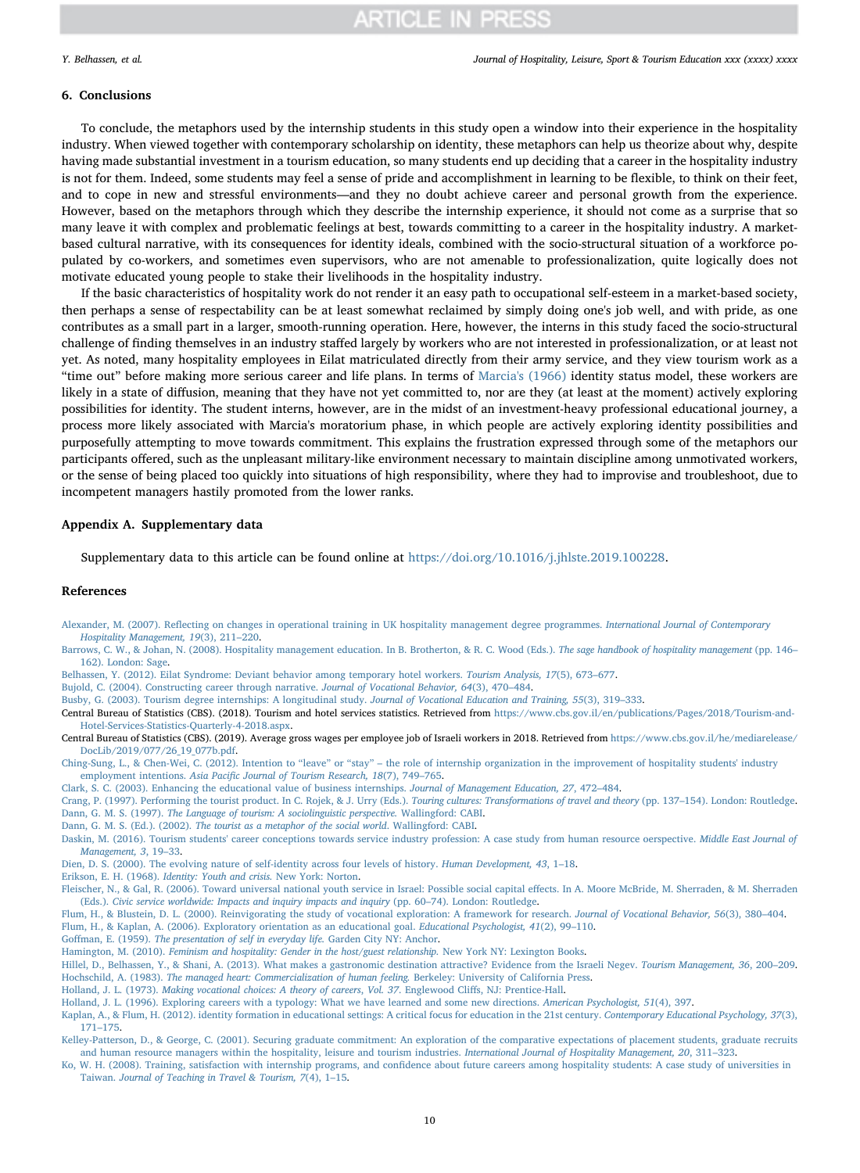#### Y. Belhassen, et al. *Journal of Hospitality, Leisure, Sport & Tourism Education xxx (xxxx) xxxx*

## 6. Conclusions

To conclude, the metaphors used by the internship students in this study open a window into their experience in the hospitality industry. When viewed together with contemporary scholarship on identity, these metaphors can help us theorize about why, despite having made substantial investment in a tourism education, so many students end up deciding that a career in the hospitality industry is not for them. Indeed, some students may feel a sense of pride and accomplishment in learning to be flexible, to think on their feet, and to cope in new and stressful environments—and they no doubt achieve career and personal growth from the experience. However, based on the metaphors through which they describe the internship experience, it should not come as a surprise that so many leave it with complex and problematic feelings at best, towards committing to a career in the hospitality industry. A marketbased cultural narrative, with its consequences for identity ideals, combined with the socio-structural situation of a workforce populated by co-workers, and sometimes even supervisors, who are not amenable to professionalization, quite logically does not motivate educated young people to stake their livelihoods in the hospitality industry.

If the basic characteristics of hospitality work do not render it an easy path to occupational self-esteem in a market-based society, then perhaps a sense of respectability can be at least somewhat reclaimed by simply doing one's job well, and with pride, as one contributes as a small part in a larger, smooth-running operation. Here, however, the interns in this study faced the socio-structural challenge of finding themselves in an industry staffed largely by workers who are not interested in professionalization, or at least not yet. As noted, many hospitality employees in Eilat matriculated directly from their army service, and they view tourism work as a "time out" before making more serious career and life plans. In terms of [Marcia's \(1966\)](#page-10-20) identity status model, these workers are likely in a state of diffusion, meaning that they have not yet committed to, nor are they (at least at the moment) actively exploring possibilities for identity. The student interns, however, are in the midst of an investment-heavy professional educational journey, a process more likely associated with Marcia's moratorium phase, in which people are actively exploring identity possibilities and purposefully attempting to move towards commitment. This explains the frustration expressed through some of the metaphors our participants offered, such as the unpleasant military-like environment necessary to maintain discipline among unmotivated workers, or the sense of being placed too quickly into situations of high responsibility, where they had to improvise and troubleshoot, due to incompetent managers hastily promoted from the lower ranks.

## Appendix A. Supplementary data

Supplementary data to this article can be found online at <https://doi.org/10.1016/j.jhlste.2019.100228>.

## References

- <span id="page-9-0"></span>Alexander, M. (2007). Refl[ecting on changes in operational training in UK hospitality management degree programmes.](http://refhub.elsevier.com/S1473-8376(19)30080-2/sref1) International Journal of Contemporary [Hospitality Management, 19](http://refhub.elsevier.com/S1473-8376(19)30080-2/sref1)(3), 211–220.
- <span id="page-9-1"></span>[Barrows, C. W., & Johan, N. \(2008\). Hospitality management education. In B. Brotherton, & R. C. Wood \(Eds.\).](http://refhub.elsevier.com/S1473-8376(19)30080-2/sref2) The sage handbook of hospitality management (pp. 146– [162\). London: Sage](http://refhub.elsevier.com/S1473-8376(19)30080-2/sref2).
- <span id="page-9-20"></span>[Belhassen, Y. \(2012\). Eilat Syndrome: Deviant behavior among temporary hotel workers.](http://refhub.elsevier.com/S1473-8376(19)30080-2/sref3) Tourism Analysis, 17(5), 673–677.
- <span id="page-9-7"></span>[Bujold, C. \(2004\). Constructing career through narrative.](http://refhub.elsevier.com/S1473-8376(19)30080-2/sref5) Journal of Vocational Behavior, 64(3), 470–484.
- <span id="page-9-3"></span>[Busby, G. \(2003\). Tourism degree internships: A longitudinal study.](http://refhub.elsevier.com/S1473-8376(19)30080-2/sref6) Journal of Vocational Education and Training, 55(3), 319–333.

<span id="page-9-18"></span>Central Bureau of Statistics (CBS). (2018). Tourism and hotel services statistics. Retrieved from [https://www.cbs.gov.il/en/publications/Pages/2018/Tourism-and-](https://www.cbs.gov.il/en/publications/Pages/2018/Tourism-and-Hotel-Services-Statistics-Quarterly-4-2018.aspx)[Hotel-Services-Statistics-Quarterly-4-2018.aspx.](https://www.cbs.gov.il/en/publications/Pages/2018/Tourism-and-Hotel-Services-Statistics-Quarterly-4-2018.aspx)

<span id="page-9-19"></span>Central Bureau of Statistics (CBS). (2019). Average gross wages per employee job of Israeli workers in 2018. Retrieved from [https://www.cbs.gov.il/he/mediarelease/](https://www.cbs.gov.il/he/mediarelease/DocLib/2019/077/26_19_077b.pdf) [DocLib/2019/077/26\\_19\\_077b.pdf](https://www.cbs.gov.il/he/mediarelease/DocLib/2019/077/26_19_077b.pdf).

<span id="page-9-4"></span>Ching-Sung, L., & Chen-Wei, C. (2012). Intention to "leave" or "stay" – [the role of internship organization in the improvement of hospitality students' industry](http://refhub.elsevier.com/S1473-8376(19)30080-2/sref9) employment intentions. Asia Pacifi[c Journal of Tourism Research, 18](http://refhub.elsevier.com/S1473-8376(19)30080-2/sref9)(7), 749–765.

<span id="page-9-16"></span>[Clark, S. C. \(2003\). Enhancing the educational value of business internships.](http://refhub.elsevier.com/S1473-8376(19)30080-2/sref10) Journal of Management Education, 27, 472–484.

<span id="page-9-22"></span><span id="page-9-5"></span>[Crang, P. \(1997\). Performing the tourist product. In C. Rojek, & J. Urry \(Eds.\).](http://refhub.elsevier.com/S1473-8376(19)30080-2/sref11) Touring cultures: Transformations of travel and theory (pp. 137–154). London: Routledge. Dann, G. M. S. (1997). [The Language of tourism: A sociolinguistic perspective.](http://refhub.elsevier.com/S1473-8376(19)30080-2/sref12) Wallingford: CABI.

- <span id="page-9-6"></span>Dann, G. M. S. (Ed.). (2002). [The tourist as a metaphor of the social world](http://refhub.elsevier.com/S1473-8376(19)30080-2/sref13). Wallingford: CABI.
- <span id="page-9-2"></span>[Daskin, M. \(2016\). Tourism students' career conceptions towards service industry profession: A case study from human resource oerspective.](http://refhub.elsevier.com/S1473-8376(19)30080-2/sref14) Middle East Journal of [Management, 3](http://refhub.elsevier.com/S1473-8376(19)30080-2/sref14), 19–33.

<span id="page-9-9"></span>[Dien, D. S. \(2000\). The evolving nature of self-identity across four levels of history.](http://refhub.elsevier.com/S1473-8376(19)30080-2/sref16) Human Development, 43, 1–18.

<span id="page-9-11"></span>Erikson, E. H. (1968). [Identity: Youth and crisis.](http://refhub.elsevier.com/S1473-8376(19)30080-2/sref17) New York: Norton.

- <span id="page-9-12"></span>[Fleischer, N., & Gal, R. \(2006\). Toward universal national youth service in Israel: Possible social capital e](http://refhub.elsevier.com/S1473-8376(19)30080-2/sref19)ffects. In A. Moore McBride, M. Sherraden, & M. Sherraden (Eds.). [Civic service worldwide: Impacts and inquiry impacts and inquiry](http://refhub.elsevier.com/S1473-8376(19)30080-2/sref19) (pp. 60–74). London: Routledge.
- <span id="page-9-14"></span><span id="page-9-13"></span>[Flum, H., & Blustein, D. L. \(2000\). Reinvigorating the study of vocational exploration: A framework for research.](http://refhub.elsevier.com/S1473-8376(19)30080-2/sref20) Journal of Vocational Behavior, 56(3), 380–404. [Flum, H., & Kaplan, A. \(2006\). Exploratory orientation as an educational goal.](http://refhub.elsevier.com/S1473-8376(19)30080-2/sref21) Educational Psychologist, 41(2), 99–110.
- <span id="page-9-21"></span>Goffman, E. (1959). [The presentation of self in everyday life.](http://refhub.elsevier.com/S1473-8376(19)30080-2/sref22) Garden City NY: Anchor.
- <span id="page-9-23"></span>Hamington, M. (2010). [Feminism and hospitality: Gender in the host/guest relationship.](http://refhub.elsevier.com/S1473-8376(19)30080-2/sref23) New York NY: Lexington Books.
- <span id="page-9-24"></span>[Hillel, D., Belhassen, Y., & Shani, A. \(2013\). What makes a gastronomic destination attractive? Evidence from the Israeli Negev.](http://refhub.elsevier.com/S1473-8376(19)30080-2/optx9iCXQzqQ6) Tourism Management, 36, 200–209. Hochschild, A. (1983). [The managed heart: Commercialization of human feeling.](http://refhub.elsevier.com/S1473-8376(19)30080-2/sref25) Berkeley: University of California Press.
- <span id="page-9-10"></span>Holland, J. L. (1973). [Making vocational choices: A theory of careers](http://refhub.elsevier.com/S1473-8376(19)30080-2/sref26), Vol. 37. Englewood Cliffs, NJ: Prentice-Hall.
- <span id="page-9-8"></span>[Holland, J. L. \(1996\). Exploring careers with a typology: What we have learned and some new directions.](http://refhub.elsevier.com/S1473-8376(19)30080-2/sref27) American Psychologist, 51(4), 397.
- <span id="page-9-15"></span>[Kaplan, A., & Flum, H. \(2012\). identity formation in educational settings: A critical focus for education in the 21st century.](http://refhub.elsevier.com/S1473-8376(19)30080-2/sref28) Contemporary Educational Psychology, 37(3), 171–[175.](http://refhub.elsevier.com/S1473-8376(19)30080-2/sref28)
- <span id="page-9-17"></span>[Kelley-Patterson, D., & George, C. \(2001\). Securing graduate commitment: An exploration of the comparative expectations of placement students, graduate recruits](http://refhub.elsevier.com/S1473-8376(19)30080-2/sref29) [and human resource managers within the hospitality, leisure and tourism industries.](http://refhub.elsevier.com/S1473-8376(19)30080-2/sref29) International Journal of Hospitality Management, 20, 311–323.
- Ko, W. H. (2008). Training, satisfaction with internship programs, and confi[dence about future careers among hospitality students: A case study of universities in](http://refhub.elsevier.com/S1473-8376(19)30080-2/sref30) Taiwan. [Journal of Teaching in Travel & Tourism, 7](http://refhub.elsevier.com/S1473-8376(19)30080-2/sref30)(4), 1–15.